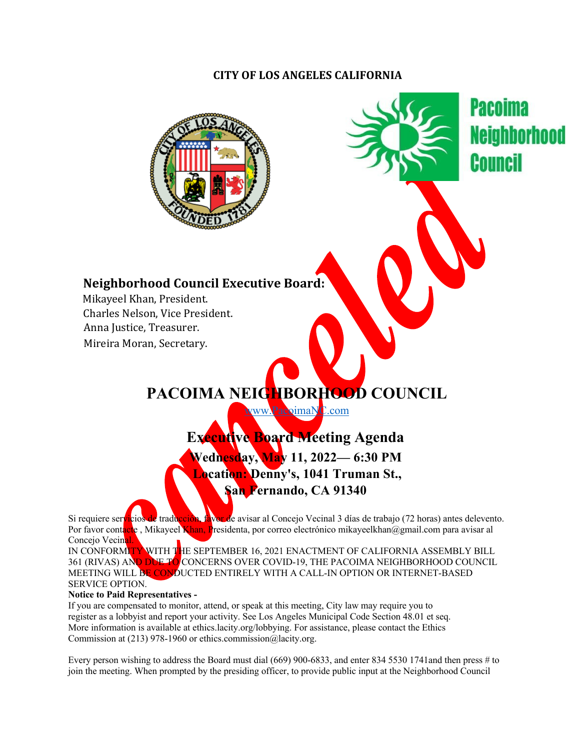### **CITY OF LOS ANGELES CALIFORNIA**





**Pacoima** Counci

## **Neighborhood Council Executive Board:**

Mikayeel Khan, President. Charles Nelson, Vice President. Anna Justice, Treasurer. Mireira Moran, Secretary.

# **PACOIMA NEIGHBORHOOD COUNCIL**

ww.PacoimaNC.com

**Executive Board Meeting Agenda Wednesday, May 11, 2022— 6:30 PM Location: Denny's, 1041 Truman St., San Fernando, CA 91340**

Si requiere servicios de traducción, favor de avisar al Concejo Vecinal 3 días de trabajo (72 horas) antes delevento. Por favor contacte, Mikayeel Khan, Presidenta, por correo electrónico mikayeelkhan@gmail.com para avisar al Concejo Vecinal.

IN CONFORMITY WITH THE SEPTEMBER 16, 2021 ENACTMENT OF CALIFORNIA ASSEMBLY BILL 361 (RIVAS) AND DUE TO CONCERNS OVER COVID-19, THE PACOIMA NEIGHBORHOOD COUNCIL MEETING WILL BE CONDUCTED ENTIRELY WITH A CALL-IN OPTION OR INTERNET-BASED SERVICE OPTION.

#### **Notice to Paid Representatives -**

If you are compensated to monitor, attend, or speak at this meeting, City law may require you to register as a lobbyist and report your activity. See Los Angeles Municipal Code Section 48.01 et seq. More information is available at ethics.lacity.org/lobbying. For assistance, please contact the Ethics Commission at (213) 978-1960 or ethics.commission@lacity.org.

Every person wishing to address the Board must dial (669) 900-6833, and enter 834 5530 1741and then press # to join the meeting. When prompted by the presiding officer, to provide public input at the Neighborhood Council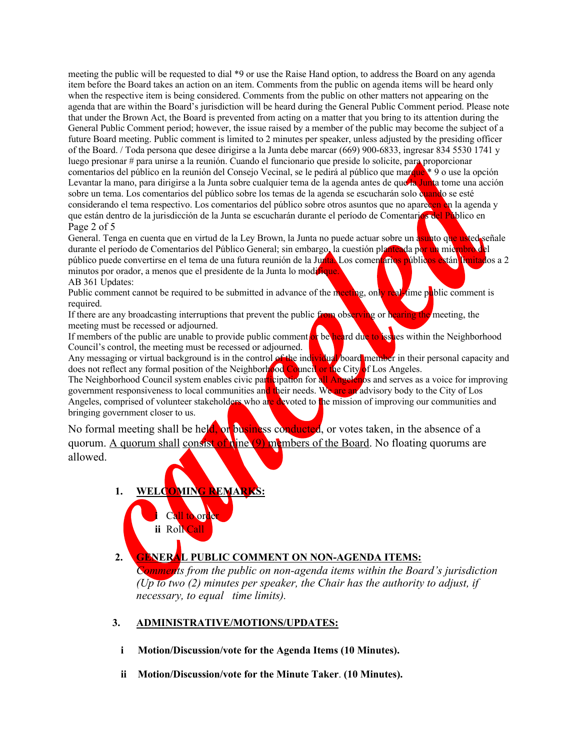meeting the public will be requested to dial \*9 or use the Raise Hand option, to address the Board on any agenda item before the Board takes an action on an item. Comments from the public on agenda items will be heard only when the respective item is being considered. Comments from the public on other matters not appearing on the agenda that are within the Board's jurisdiction will be heard during the General Public Comment period. Please note that under the Brown Act, the Board is prevented from acting on a matter that you bring to its attention during the General Public Comment period; however, the issue raised by a member of the public may become the subject of a future Board meeting. Public comment is limited to 2 minutes per speaker, unless adjusted by the presiding officer of the Board. / Toda persona que desee dirigirse a la Junta debe marcar (669) 900-6833, ingresar 834 5530 1741 y luego presionar # para unirse a la reunión. Cuando el funcionario que preside lo solicite, para proporcionar comentarios del público en la reunión del Consejo Vecinal, se le pedirá al público que marque \* 9 o use la opción Levantar la mano, para dirigirse a la Junta sobre cualquier tema de la agenda antes de que la Junta tome una acción sobre un tema. Los comentarios del público sobre los temas de la agenda se escucharán solo quando se esté considerando el tema respectivo. Los comentarios del público sobre otros asuntos que no aparecen en la agenda y que están dentro de la jurisdicción de la Junta se escucharán durante el período de Comentarios del Público en Page 2 of 5

General. Tenga en cuenta que en virtud de la Ley Brown, la Junta no puede actuar sobre un asunto que usted señale durante el período de Comentarios del Público General; sin embargo, la cuestión planteada por un miembro del público puede convertirse en el tema de una futura reunión de la Junta. Los comentarios públicos están limitados a 2 minutos por orador, a menos que el presidente de la Junta lo modifique. AB 361 Updates:

Public comment cannot be required to be submitted in advance of the meeting, only real-time public comment is required.

If there are any broadcasting interruptions that prevent the public from observing or hearing the meeting, the meeting must be recessed or adjourned.

If members of the public are unable to provide public comment or be heard due to issues within the Neighborhood Council's control, the meeting must be recessed or adjourned.

Any messaging or virtual background is in the control of the individual board member in their personal capacity and does not reflect any formal position of the Neighborhood Council or the City of Los Angeles.

The Neighborhood Council system enables civic participation for all Angelenos and serves as a voice for improving government responsiveness to local communities and their needs. We are an advisory body to the City of Los Angeles, comprised of volunteer stakeholders who are devoted to the mission of improving our communities and bringing government closer to us.

No formal meeting shall be held, or business conducted, or votes taken, in the absence of a quorum. A quorum shall consist of nine (9) members of the Board. No floating quorums are allowed.

- **1.** WELCOMING
	- Call to or **ii** Roll Call

#### **2. GENERAL PUBLIC COMMENT ON NON-AGENDA ITEMS:**

*Comments from the public on non-agenda items within the Board's jurisdiction (Up to two (2) minutes per speaker, the Chair has the authority to adjust, if necessary, to equal time limits).*

#### **3. ADMINISTRATIVE/MOTIONS/UPDATES:**

- **i Motion/Discussion/vote for the Agenda Items (10 Minutes).**
- **ii Motion/Discussion/vote for the Minute Taker**. **(10 Minutes).**